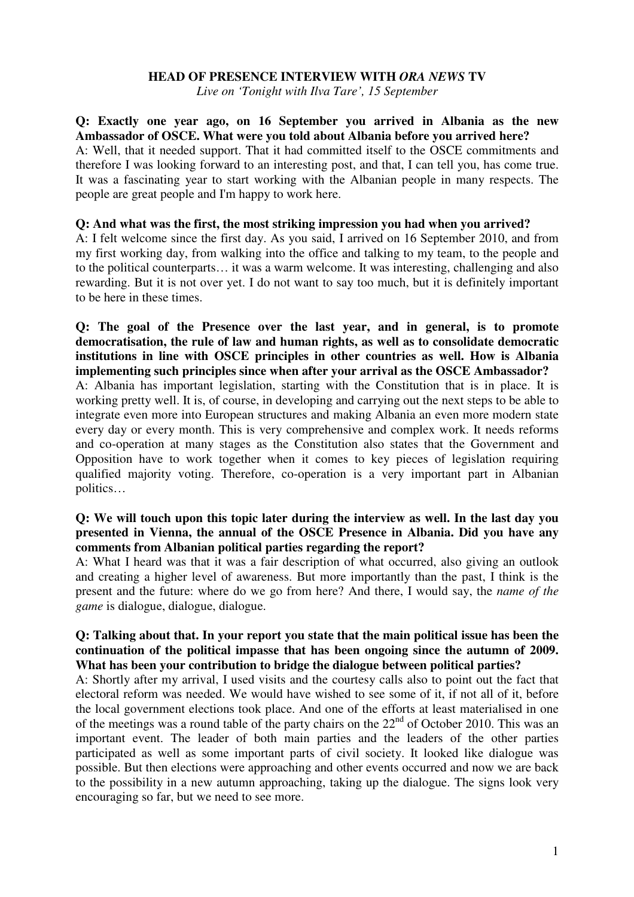#### **HEAD OF PRESENCE INTERVIEW WITH** *ORA NEWS* **TV**

*Live on 'Tonight with Ilva Tare', 15 September*

**Q: Exactly one year ago, on 16 September you arrived in Albania as the new Ambassador of OSCE. What were you told about Albania before you arrived here?** A: Well, that it needed support. That it had committed itself to the OSCE commitments and therefore I was looking forward to an interesting post, and that, I can tell you, has come true. It was a fascinating year to start working with the Albanian people in many respects. The people are great people and I'm happy to work here.

#### **Q: And what was the first, the most striking impression you had when you arrived?**

A: I felt welcome since the first day. As you said, I arrived on 16 September 2010, and from my first working day, from walking into the office and talking to my team, to the people and to the political counterparts… it was a warm welcome. It was interesting, challenging and also rewarding. But it is not over yet. I do not want to say too much, but it is definitely important to be here in these times.

## **Q: The goal of the Presence over the last year, and in general, is to promote democratisation, the rule of law and human rights, as well as to consolidate democratic institutions in line with OSCE principles in other countries as well. How is Albania implementing such principles since when after your arrival as the OSCE Ambassador?**

A: Albania has important legislation, starting with the Constitution that is in place. It is working pretty well. It is, of course, in developing and carrying out the next steps to be able to integrate even more into European structures and making Albania an even more modern state every day or every month. This is very comprehensive and complex work. It needs reforms and co-operation at many stages as the Constitution also states that the Government and Opposition have to work together when it comes to key pieces of legislation requiring qualified majority voting. Therefore, co-operation is a very important part in Albanian politics…

# **Q: We will touch upon this topic later during the interview as well. In the last day you presented in Vienna, the annual of the OSCE Presence in Albania. Did you have any comments from Albanian political parties regarding the report?**

A: What I heard was that it was a fair description of what occurred, also giving an outlook and creating a higher level of awareness. But more importantly than the past, I think is the present and the future: where do we go from here? And there, I would say, the *name of the game* is dialogue, dialogue, dialogue.

## **Q: Talking about that. In your report you state that the main political issue has been the continuation of the political impasse that has been ongoing since the autumn of 2009. What has been your contribution to bridge the dialogue between political parties?**

A: Shortly after my arrival, I used visits and the courtesy calls also to point out the fact that electoral reform was needed. We would have wished to see some of it, if not all of it, before the local government elections took place. And one of the efforts at least materialised in one of the meetings was a round table of the party chairs on the  $22<sup>nd</sup>$  of October 2010. This was an important event. The leader of both main parties and the leaders of the other parties participated as well as some important parts of civil society. It looked like dialogue was possible. But then elections were approaching and other events occurred and now we are back to the possibility in a new autumn approaching, taking up the dialogue. The signs look very encouraging so far, but we need to see more.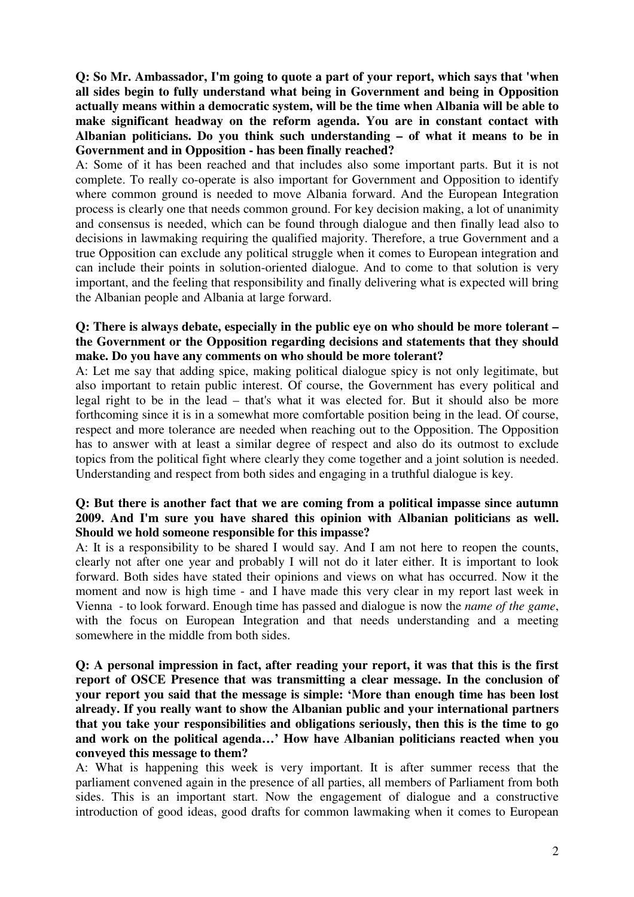**Q: So Mr. Ambassador, I'm going to quote a part of your report, which says that 'when all sides begin to fully understand what being in Government and being in Opposition actually means within a democratic system, will be the time when Albania will be able to make significant headway on the reform agenda. You are in constant contact with Albanian politicians. Do you think such understanding – of what it means to be in Government and in Opposition - has been finally reached?**

A: Some of it has been reached and that includes also some important parts. But it is not complete. To really co-operate is also important for Government and Opposition to identify where common ground is needed to move Albania forward. And the European Integration process is clearly one that needs common ground. For key decision making, a lot of unanimity and consensus is needed, which can be found through dialogue and then finally lead also to decisions in lawmaking requiring the qualified majority. Therefore, a true Government and a true Opposition can exclude any political struggle when it comes to European integration and can include their points in solution-oriented dialogue. And to come to that solution is very important, and the feeling that responsibility and finally delivering what is expected will bring the Albanian people and Albania at large forward.

## **Q: There is always debate, especially in the public eye on who should be more tolerant – the Government or the Opposition regarding decisions and statements that they should make. Do you have any comments on who should be more tolerant?**

A: Let me say that adding spice, making political dialogue spicy is not only legitimate, but also important to retain public interest. Of course, the Government has every political and legal right to be in the lead – that's what it was elected for. But it should also be more forthcoming since it is in a somewhat more comfortable position being in the lead. Of course, respect and more tolerance are needed when reaching out to the Opposition. The Opposition has to answer with at least a similar degree of respect and also do its outmost to exclude topics from the political fight where clearly they come together and a joint solution is needed. Understanding and respect from both sides and engaging in a truthful dialogue is key.

# **Q: But there is another fact that we are coming from a political impasse since autumn 2009. And I'm sure you have shared this opinion with Albanian politicians as well. Should we hold someone responsible for this impasse?**

A: It is a responsibility to be shared I would say. And I am not here to reopen the counts, clearly not after one year and probably I will not do it later either. It is important to look forward. Both sides have stated their opinions and views on what has occurred. Now it the moment and now is high time - and I have made this very clear in my report last week in Vienna - to look forward. Enough time has passed and dialogue is now the *name of the game*, with the focus on European Integration and that needs understanding and a meeting somewhere in the middle from both sides.

## **Q: A personal impression in fact, after reading your report, it was that this is the first report of OSCE Presence that was transmitting a clear message. In the conclusion of your report you said that the message is simple: 'More than enough time has been lost already. If you really want to show the Albanian public and your international partners that you take your responsibilities and obligations seriously, then this is the time to go and work on the political agenda…' How have Albanian politicians reacted when you conveyed this message to them?**

A: What is happening this week is very important. It is after summer recess that the parliament convened again in the presence of all parties, all members of Parliament from both sides. This is an important start. Now the engagement of dialogue and a constructive introduction of good ideas, good drafts for common lawmaking when it comes to European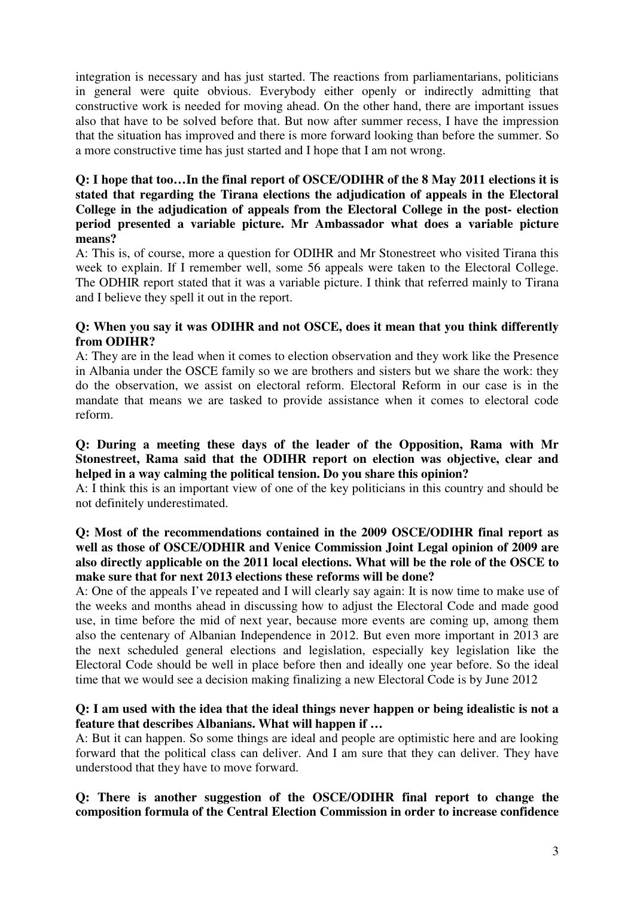integration is necessary and has just started. The reactions from parliamentarians, politicians in general were quite obvious. Everybody either openly or indirectly admitting that constructive work is needed for moving ahead. On the other hand, there are important issues also that have to be solved before that. But now after summer recess, I have the impression that the situation has improved and there is more forward looking than before the summer. So a more constructive time has just started and I hope that I am not wrong.

# **Q: I hope that too…In the final report of OSCE/ODIHR of the 8 May 2011 elections it is stated that regarding the Tirana elections the adjudication of appeals in the Electoral College in the adjudication of appeals from the Electoral College in the post- election period presented a variable picture. Mr Ambassador what does a variable picture means?**

A: This is, of course, more a question for ODIHR and Mr Stonestreet who visited Tirana this week to explain. If I remember well, some 56 appeals were taken to the Electoral College. The ODHIR report stated that it was a variable picture. I think that referred mainly to Tirana and I believe they spell it out in the report.

# **Q: When you say it was ODIHR and not OSCE, does it mean that you think differently from ODIHR?**

A: They are in the lead when it comes to election observation and they work like the Presence in Albania under the OSCE family so we are brothers and sisters but we share the work: they do the observation, we assist on electoral reform. Electoral Reform in our case is in the mandate that means we are tasked to provide assistance when it comes to electoral code reform.

#### **Q: During a meeting these days of the leader of the Opposition, Rama with Mr Stonestreet, Rama said that the ODIHR report on election was objective, clear and helped in a way calming the political tension. Do you share this opinion?**

A: I think this is an important view of one of the key politicians in this country and should be not definitely underestimated.

# **Q: Most of the recommendations contained in the 2009 OSCE/ODIHR final report as well as those of OSCE/ODHIR and Venice Commission Joint Legal opinion of 2009 are also directly applicable on the 2011 local elections. What will be the role of the OSCE to make sure that for next 2013 elections these reforms will be done?**

A: One of the appeals I've repeated and I will clearly say again: It is now time to make use of the weeks and months ahead in discussing how to adjust the Electoral Code and made good use, in time before the mid of next year, because more events are coming up, among them also the centenary of Albanian Independence in 2012. But even more important in 2013 are the next scheduled general elections and legislation, especially key legislation like the Electoral Code should be well in place before then and ideally one year before. So the ideal time that we would see a decision making finalizing a new Electoral Code is by June 2012

## **Q: I am used with the idea that the ideal things never happen or being idealistic is not a feature that describes Albanians. What will happen if …**

A: But it can happen. So some things are ideal and people are optimistic here and are looking forward that the political class can deliver. And I am sure that they can deliver. They have understood that they have to move forward.

# **Q: There is another suggestion of the OSCE/ODIHR final report to change the composition formula of the Central Election Commission in order to increase confidence**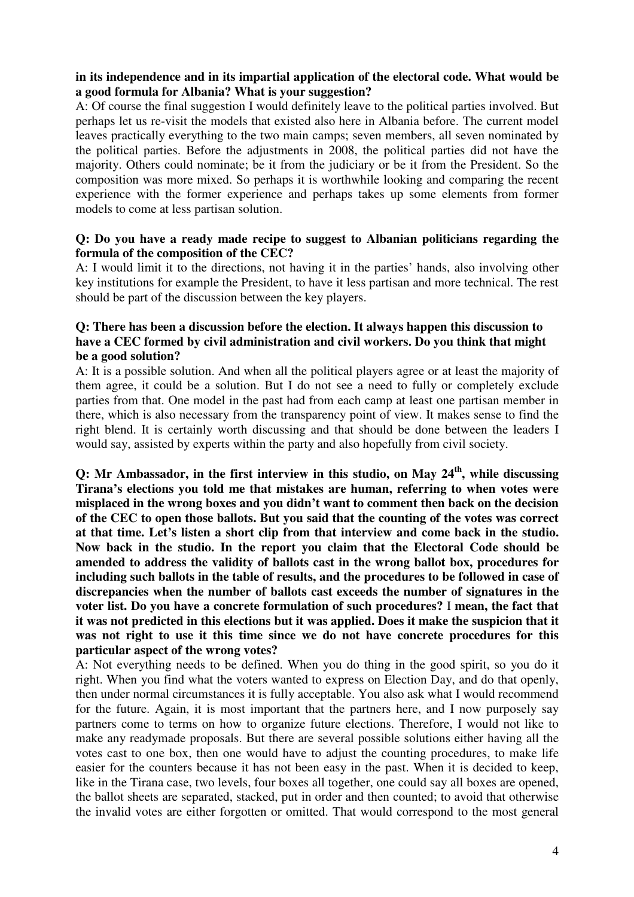## **in its independence and in its impartial application of the electoral code. What would be a good formula for Albania? What is your suggestion?**

A: Of course the final suggestion I would definitely leave to the political parties involved. But perhaps let us re-visit the models that existed also here in Albania before. The current model leaves practically everything to the two main camps; seven members, all seven nominated by the political parties. Before the adjustments in 2008, the political parties did not have the majority. Others could nominate; be it from the judiciary or be it from the President. So the composition was more mixed. So perhaps it is worthwhile looking and comparing the recent experience with the former experience and perhaps takes up some elements from former models to come at less partisan solution.

#### **Q: Do you have a ready made recipe to suggest to Albanian politicians regarding the formula of the composition of the CEC?**

A: I would limit it to the directions, not having it in the parties' hands, also involving other key institutions for example the President, to have it less partisan and more technical. The rest should be part of the discussion between the key players.

# **Q: There has been a discussion before the election. It always happen this discussion to have a CEC formed by civil administration and civil workers. Do you think that might be a good solution?**

A: It is a possible solution. And when all the political players agree or at least the majority of them agree, it could be a solution. But I do not see a need to fully or completely exclude parties from that. One model in the past had from each camp at least one partisan member in there, which is also necessary from the transparency point of view. It makes sense to find the right blend. It is certainly worth discussing and that should be done between the leaders I would say, assisted by experts within the party and also hopefully from civil society.

**Q: Mr Ambassador, in the first interview in this studio, on May 24 th , while discussing Tirana's elections you told me that mistakes are human, referring to when votes were misplaced in the wrong boxes and you didn't want to comment then back on the decision of the CEC to open those ballots. But you said that the counting of the votes was correct at that time. Let's listen a short clip from that interview and come back in the studio. Now back in the studio. In the report you claim that the Electoral Code should be amended to address the validity of ballots cast in the wrong ballot box, procedures for including such ballots in the table of results, and the procedures to be followed in case of discrepancies when the number of ballots cast exceeds the number of signatures in the voter list. Do you have a concrete formulation of such procedures?** I **mean, the fact that it was not predicted in this elections but it was applied. Does it make the suspicion that it was not right to use it this time since we do not have concrete procedures for this particular aspect of the wrong votes?**

A: Not everything needs to be defined. When you do thing in the good spirit, so you do it right. When you find what the voters wanted to express on Election Day, and do that openly, then under normal circumstances it is fully acceptable. You also ask what I would recommend for the future. Again, it is most important that the partners here, and I now purposely say partners come to terms on how to organize future elections. Therefore, I would not like to make any readymade proposals. But there are several possible solutions either having all the votes cast to one box, then one would have to adjust the counting procedures, to make life easier for the counters because it has not been easy in the past. When it is decided to keep, like in the Tirana case, two levels, four boxes all together, one could say all boxes are opened, the ballot sheets are separated, stacked, put in order and then counted; to avoid that otherwise the invalid votes are either forgotten or omitted. That would correspond to the most general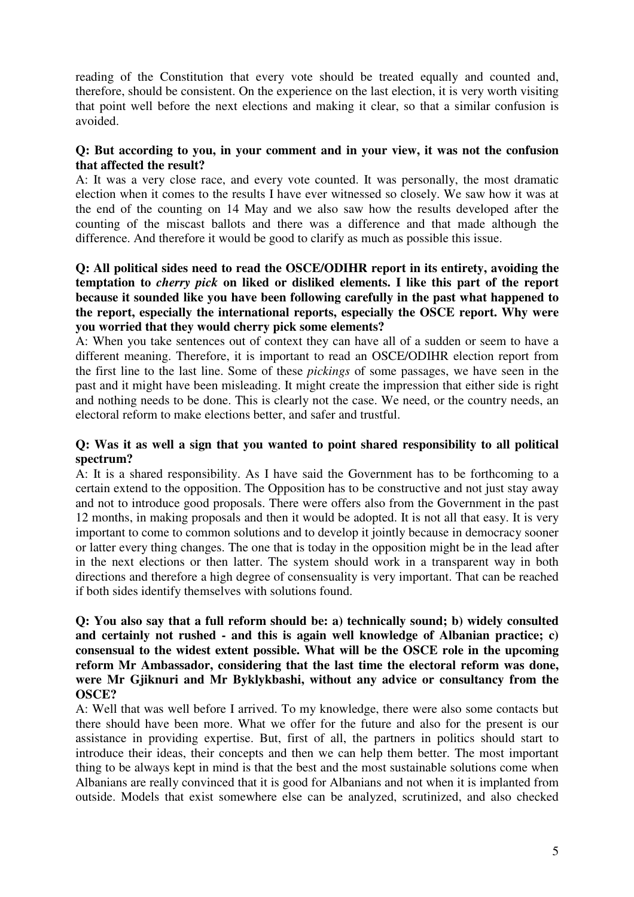reading of the Constitution that every vote should be treated equally and counted and, therefore, should be consistent. On the experience on the last election, it is very worth visiting that point well before the next elections and making it clear, so that a similar confusion is avoided.

## **Q: But according to you, in your comment and in your view, it was not the confusion that affected the result?**

A: It was a very close race, and every vote counted. It was personally, the most dramatic election when it comes to the results I have ever witnessed so closely. We saw how it was at the end of the counting on 14 May and we also saw how the results developed after the counting of the miscast ballots and there was a difference and that made although the difference. And therefore it would be good to clarify as much as possible this issue.

## **Q: All political sides need to read the OSCE/ODIHR report in its entirety, avoiding the temptation to** *cherry pick* **on liked or disliked elements. I like this part of the report because it sounded like you have been following carefully in the past what happened to the report, especially the international reports, especially the OSCE report. Why were you worried that they would cherry pick some elements?**

A: When you take sentences out of context they can have all of a sudden or seem to have a different meaning. Therefore, it is important to read an OSCE/ODIHR election report from the first line to the last line. Some of these *pickings* of some passages, we have seen in the past and it might have been misleading. It might create the impression that either side is right and nothing needs to be done. This is clearly not the case. We need, or the country needs, an electoral reform to make elections better, and safer and trustful.

## **Q: Was it as well a sign that you wanted to point shared responsibility to all political spectrum?**

A: It is a shared responsibility. As I have said the Government has to be forthcoming to a certain extend to the opposition. The Opposition has to be constructive and not just stay away and not to introduce good proposals. There were offers also from the Government in the past 12 months, in making proposals and then it would be adopted. It is not all that easy. It is very important to come to common solutions and to develop it jointly because in democracy sooner or latter every thing changes. The one that is today in the opposition might be in the lead after in the next elections or then latter. The system should work in a transparent way in both directions and therefore a high degree of consensuality is very important. That can be reached if both sides identify themselves with solutions found.

## **Q: You also say that a full reform should be: a) technically sound; b) widely consulted and certainly not rushed - and this is again well knowledge of Albanian practice; c) consensual to the widest extent possible. What will be the OSCE role in the upcoming reform Mr Ambassador, considering that the last time the electoral reform was done, were Mr Gjiknuri and Mr Byklykbashi, without any advice or consultancy from the OSCE?**

A: Well that was well before I arrived. To my knowledge, there were also some contacts but there should have been more. What we offer for the future and also for the present is our assistance in providing expertise. But, first of all, the partners in politics should start to introduce their ideas, their concepts and then we can help them better. The most important thing to be always kept in mind is that the best and the most sustainable solutions come when Albanians are really convinced that it is good for Albanians and not when it is implanted from outside. Models that exist somewhere else can be analyzed, scrutinized, and also checked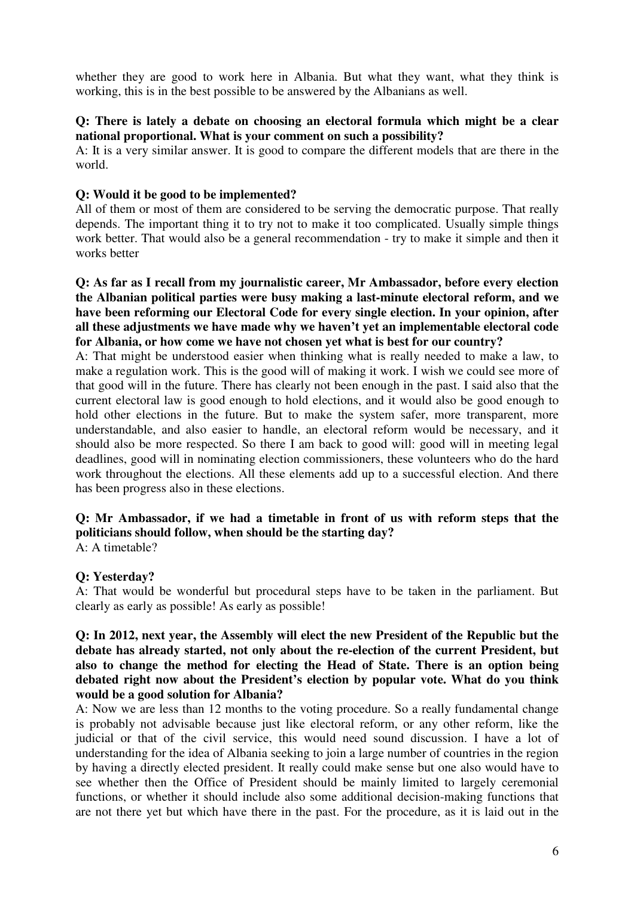whether they are good to work here in Albania. But what they want, what they think is working, this is in the best possible to be answered by the Albanians as well.

## **Q: There is lately a debate on choosing an electoral formula which might be a clear national proportional. What is your comment on such a possibility?**

A: It is a very similar answer. It is good to compare the different models that are there in the world.

## **Q: Would it be good to be implemented?**

All of them or most of them are considered to be serving the democratic purpose. That really depends. The important thing it to try not to make it too complicated. Usually simple things work better. That would also be a general recommendation - try to make it simple and then it works better

**Q: As far as I recall from my journalistic career, Mr Ambassador, before every election the Albanian political parties were busy making a last-minute electoral reform, and we have been reforming our Electoral Code for every single election. In your opinion, after all these adjustments we have made why we haven't yet an implementable electoral code for Albania, or how come we have not chosen yet what is best for our country?**

A: That might be understood easier when thinking what is really needed to make a law, to make a regulation work. This is the good will of making it work. I wish we could see more of that good will in the future. There has clearly not been enough in the past. I said also that the current electoral law is good enough to hold elections, and it would also be good enough to hold other elections in the future. But to make the system safer, more transparent, more understandable, and also easier to handle, an electoral reform would be necessary, and it should also be more respected. So there I am back to good will: good will in meeting legal deadlines, good will in nominating election commissioners, these volunteers who do the hard work throughout the elections. All these elements add up to a successful election. And there has been progress also in these elections.

# **Q: Mr Ambassador, if we had a timetable in front of us with reform steps that the politicians should follow, when should be the starting day?**

A: A timetable?

#### **Q: Yesterday?**

A: That would be wonderful but procedural steps have to be taken in the parliament. But clearly as early as possible! As early as possible!

## **Q: In 2012, next year, the Assembly will elect the new President of the Republic but the debate has already started, not only about the re-election of the current President, but also to change the method for electing the Head of State. There is an option being debated right now about the President's election by popular vote. What do you think would be a good solution for Albania?**

A: Now we are less than 12 months to the voting procedure. So a really fundamental change is probably not advisable because just like electoral reform, or any other reform, like the judicial or that of the civil service, this would need sound discussion. I have a lot of understanding for the idea of Albania seeking to join a large number of countries in the region by having a directly elected president. It really could make sense but one also would have to see whether then the Office of President should be mainly limited to largely ceremonial functions, or whether it should include also some additional decision-making functions that are not there yet but which have there in the past. For the procedure, as it is laid out in the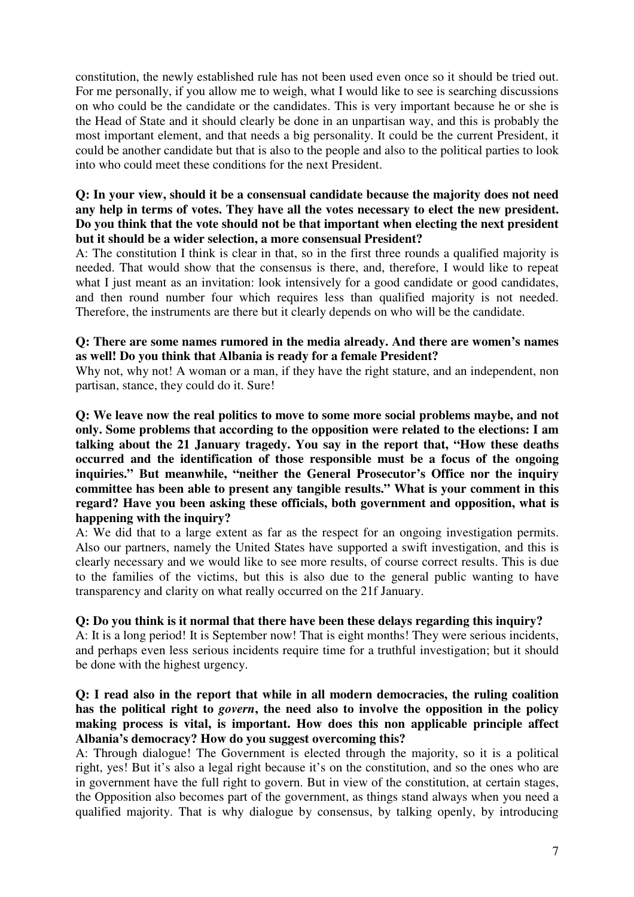constitution, the newly established rule has not been used even once so it should be tried out. For me personally, if you allow me to weigh, what I would like to see is searching discussions on who could be the candidate or the candidates. This is very important because he or she is the Head of State and it should clearly be done in an unpartisan way, and this is probably the most important element, and that needs a big personality. It could be the current President, it could be another candidate but that is also to the people and also to the political parties to look into who could meet these conditions for the next President.

## **Q: In your view, should it be a consensual candidate because the majority does not need any help in terms of votes. They have all the votes necessary to elect the new president. Do you think that the vote should not be that important when electing the next president but it should be a wider selection, a more consensual President?**

A: The constitution I think is clear in that, so in the first three rounds a qualified majority is needed. That would show that the consensus is there, and, therefore, I would like to repeat what I just meant as an invitation: look intensively for a good candidate or good candidates, and then round number four which requires less than qualified majority is not needed. Therefore, the instruments are there but it clearly depends on who will be the candidate.

## **Q: There are some names rumored in the media already. And there are women's names as well! Do you think that Albania is ready for a female President?**

Why not, why not! A woman or a man, if they have the right stature, and an independent, non partisan, stance, they could do it. Sure!

**Q: We leave now the real politics to move to some more social problems maybe, and not only. Some problems that according to the opposition were related to the elections: I am talking about the 21 January tragedy. You say in the report that, "How these deaths occurred and the identification of those responsible must be a focus of the ongoing inquiries." But meanwhile, "neither the General Prosecutor's Office nor the inquiry committee has been able to present any tangible results." What is your comment in this regard? Have you been asking these officials, both government and opposition, what is happening with the inquiry?**

A: We did that to a large extent as far as the respect for an ongoing investigation permits. Also our partners, namely the United States have supported a swift investigation, and this is clearly necessary and we would like to see more results, of course correct results. This is due to the families of the victims, but this is also due to the general public wanting to have transparency and clarity on what really occurred on the 21f January.

#### **Q: Do you think is it normal that there have been these delays regarding this inquiry?**

A: It is a long period! It is September now! That is eight months! They were serious incidents, and perhaps even less serious incidents require time for a truthful investigation; but it should be done with the highest urgency.

## **Q: I read also in the report that while in all modern democracies, the ruling coalition has the political right to** *govern***, the need also to involve the opposition in the policy making process is vital, is important. How does this non applicable principle affect Albania's democracy? How do you suggest overcoming this?**

A: Through dialogue! The Government is elected through the majority, so it is a political right, yes! But it's also a legal right because it's on the constitution, and so the ones who are in government have the full right to govern. But in view of the constitution, at certain stages, the Opposition also becomes part of the government, as things stand always when you need a qualified majority. That is why dialogue by consensus, by talking openly, by introducing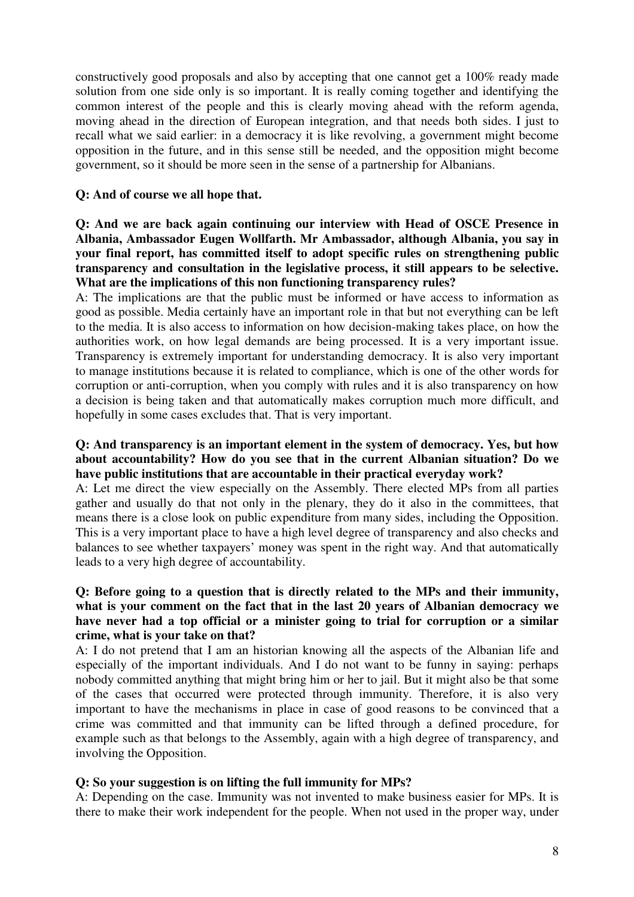constructively good proposals and also by accepting that one cannot get a 100% ready made solution from one side only is so important. It is really coming together and identifying the common interest of the people and this is clearly moving ahead with the reform agenda, moving ahead in the direction of European integration, and that needs both sides. I just to recall what we said earlier: in a democracy it is like revolving, a government might become opposition in the future, and in this sense still be needed, and the opposition might become government, so it should be more seen in the sense of a partnership for Albanians.

#### **Q: And of course we all hope that.**

## **Q: And we are back again continuing our interview with Head of OSCE Presence in Albania, Ambassador Eugen Wollfarth. Mr Ambassador, although Albania, you say in your final report, has committed itself to adopt specific rules on strengthening public transparency and consultation in the legislative process, it still appears to be selective. What are the implications of this non functioning transparency rules?**

A: The implications are that the public must be informed or have access to information as good as possible. Media certainly have an important role in that but not everything can be left to the media. It is also access to information on how decision-making takes place, on how the authorities work, on how legal demands are being processed. It is a very important issue. Transparency is extremely important for understanding democracy. It is also very important to manage institutions because it is related to compliance, which is one of the other words for corruption or anti-corruption, when you comply with rules and it is also transparency on how a decision is being taken and that automatically makes corruption much more difficult, and hopefully in some cases excludes that. That is very important.

#### **Q: And transparency is an important element in the system of democracy. Yes, but how about accountability? How do you see that in the current Albanian situation? Do we have public institutions that are accountable in their practical everyday work?**

A: Let me direct the view especially on the Assembly. There elected MPs from all parties gather and usually do that not only in the plenary, they do it also in the committees, that means there is a close look on public expenditure from many sides, including the Opposition. This is a very important place to have a high level degree of transparency and also checks and balances to see whether taxpayers' money was spent in the right way. And that automatically leads to a very high degree of accountability.

# **Q: Before going to a question that is directly related to the MPs and their immunity, what is your comment on the fact that in the last 20 years of Albanian democracy we have never had a top official or a minister going to trial for corruption or a similar crime, what is your take on that?**

A: I do not pretend that I am an historian knowing all the aspects of the Albanian life and especially of the important individuals. And I do not want to be funny in saying: perhaps nobody committed anything that might bring him or her to jail. But it might also be that some of the cases that occurred were protected through immunity. Therefore, it is also very important to have the mechanisms in place in case of good reasons to be convinced that a crime was committed and that immunity can be lifted through a defined procedure, for example such as that belongs to the Assembly, again with a high degree of transparency, and involving the Opposition.

#### **Q: So your suggestion is on lifting the full immunity for MPs?**

A: Depending on the case. Immunity was not invented to make business easier for MPs. It is there to make their work independent for the people. When not used in the proper way, under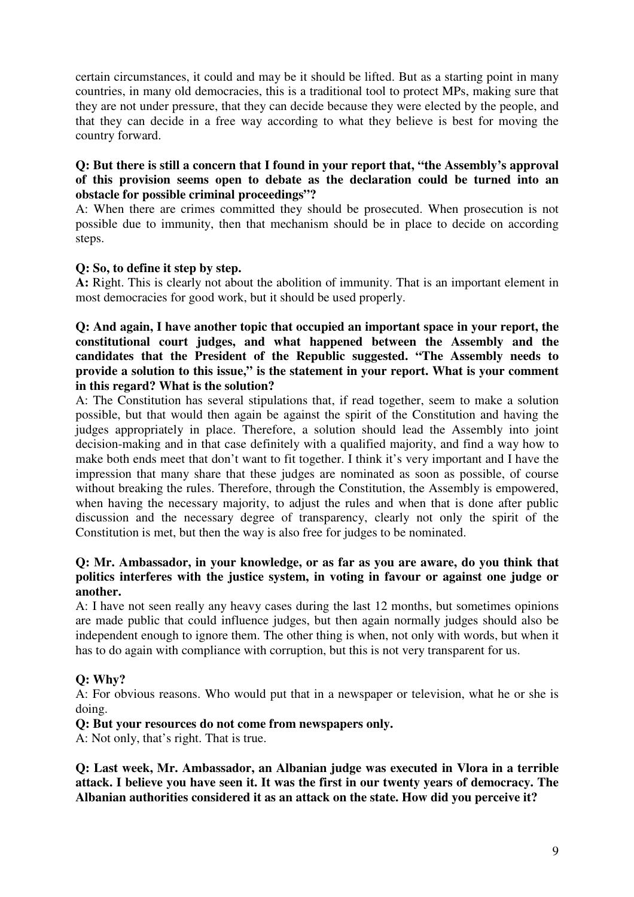certain circumstances, it could and may be it should be lifted. But as a starting point in many countries, in many old democracies, this is a traditional tool to protect MPs, making sure that they are not under pressure, that they can decide because they were elected by the people, and that they can decide in a free way according to what they believe is best for moving the country forward.

#### **Q: But there is still a concern that I found in your report that, "the Assembly's approval of this provision seems open to debate as the declaration could be turned into an obstacle for possible criminal proceedings"?**

A: When there are crimes committed they should be prosecuted. When prosecution is not possible due to immunity, then that mechanism should be in place to decide on according steps.

## **Q: So, to define it step by step.**

**A:** Right. This is clearly not about the abolition of immunity. That is an important element in most democracies for good work, but it should be used properly.

## **Q: And again, I have another topic that occupied an important space in your report, the constitutional court judges, and what happened between the Assembly and the candidates that the President of the Republic suggested. "The Assembly needs to provide a solution to this issue," is the statement in your report. What is your comment in this regard? What is the solution?**

A: The Constitution has several stipulations that, if read together, seem to make a solution possible, but that would then again be against the spirit of the Constitution and having the judges appropriately in place. Therefore, a solution should lead the Assembly into joint decision-making and in that case definitely with a qualified majority, and find a way how to make both ends meet that don't want to fit together. I think it's very important and I have the impression that many share that these judges are nominated as soon as possible, of course without breaking the rules. Therefore, through the Constitution, the Assembly is empowered, when having the necessary majority, to adjust the rules and when that is done after public discussion and the necessary degree of transparency, clearly not only the spirit of the Constitution is met, but then the way is also free for judges to be nominated.

## **Q: Mr. Ambassador, in your knowledge, or as far as you are aware, do you think that politics interferes with the justice system, in voting in favour or against one judge or another.**

A: I have not seen really any heavy cases during the last 12 months, but sometimes opinions are made public that could influence judges, but then again normally judges should also be independent enough to ignore them. The other thing is when, not only with words, but when it has to do again with compliance with corruption, but this is not very transparent for us.

# **Q: Why?**

A: For obvious reasons. Who would put that in a newspaper or television, what he or she is doing.

#### **Q: But your resources do not come from newspapers only.**

A: Not only, that's right. That is true.

**Q: Last week, Mr. Ambassador, an Albanian judge was executed in Vlora in a terrible attack. I believe you have seen it. It was the first in our twenty years of democracy. The Albanian authorities considered it as an attack on the state. How did you perceive it?**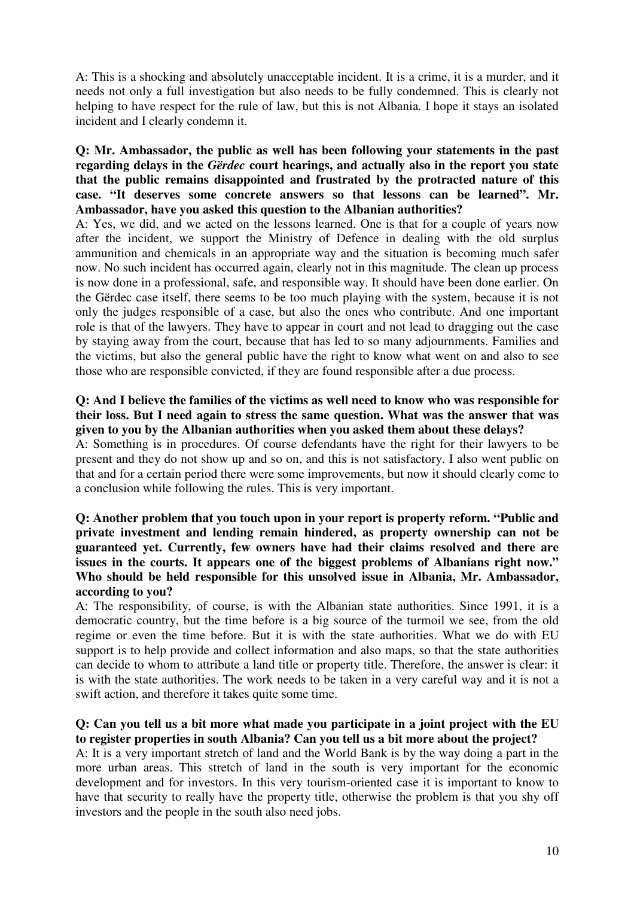A: This is a shocking and absolutely unacceptable incident. It is a crime, it is a murder, and it needs not only a full investigation but also needs to be fully condemned. This is clearly not helping to have respect for the rule of law, but this is not Albania. I hope it stays an isolated incident and I clearly condemn it.

# **Q: Mr. Ambassador, the public as well has been following your statements in the past regarding delays in the** *Gërdec* **court hearings, and actually also in the report you state that the public remains disappointed and frustrated by the protracted nature of this case. "It deserves some concrete answers so that lessons can be learned". Mr. Ambassador, have you asked this question to the Albanian authorities?**

A: Yes, we did, and we acted on the lessons learned. One is that for a couple of years now after the incident, we support the Ministry of Defence in dealing with the old surplus ammunition and chemicals in an appropriate way and the situation is becoming much safer now. No such incident has occurred again, clearly not in this magnitude. The clean up process is now done in a professional, safe, and responsible way. It should have been done earlier. On the Gërdec case itself, there seems to be too much playing with the system, because it is not only the judges responsible of a case, but also the ones who contribute. And one important role is that of the lawyers. They have to appear in court and not lead to dragging out the case by staying away from the court, because that has led to so many adjournments. Families and the victims, but also the general public have the right to know what went on and also to see those who are responsible convicted, if they are found responsible after a due process.

#### **Q: And I believe the families of the victims as well need to know who was responsible for their loss. But I need again to stress the same question. What was the answer that was given to you by the Albanian authorities when you asked them about these delays?**

A: Something is in procedures. Of course defendants have the right for their lawyers to be present and they do not show up and so on, and this is not satisfactory. I also went public on that and for a certain period there were some improvements, but now it should clearly come to a conclusion while following the rules. This is very important.

## **Q: Another problem that you touch upon in your report is property reform. "Public and private investment and lending remain hindered, as property ownership can not be guaranteed yet. Currently, few owners have had their claims resolved and there are issues in the courts. It appears one of the biggest problems of Albanians right now." Who should be held responsible for this unsolved issue in Albania, Mr. Ambassador, according to you?**

A: The responsibility, of course, is with the Albanian state authorities. Since 1991, it is a democratic country, but the time before is a big source of the turmoil we see, from the old regime or even the time before. But it is with the state authorities. What we do with EU support is to help provide and collect information and also maps, so that the state authorities can decide to whom to attribute a land title or property title. Therefore, the answer is clear: it is with the state authorities. The work needs to be taken in a very careful way and it is not a swift action, and therefore it takes quite some time.

# **Q: Can you tell us a bit more what made you participate in a joint project with the EU to register properties in south Albania? Can you tell us a bit more about the project?**

A: It is a very important stretch of land and the World Bank is by the way doing a part in the more urban areas. This stretch of land in the south is very important for the economic development and for investors. In this very tourism-oriented case it is important to know to have that security to really have the property title, otherwise the problem is that you shy off investors and the people in the south also need jobs.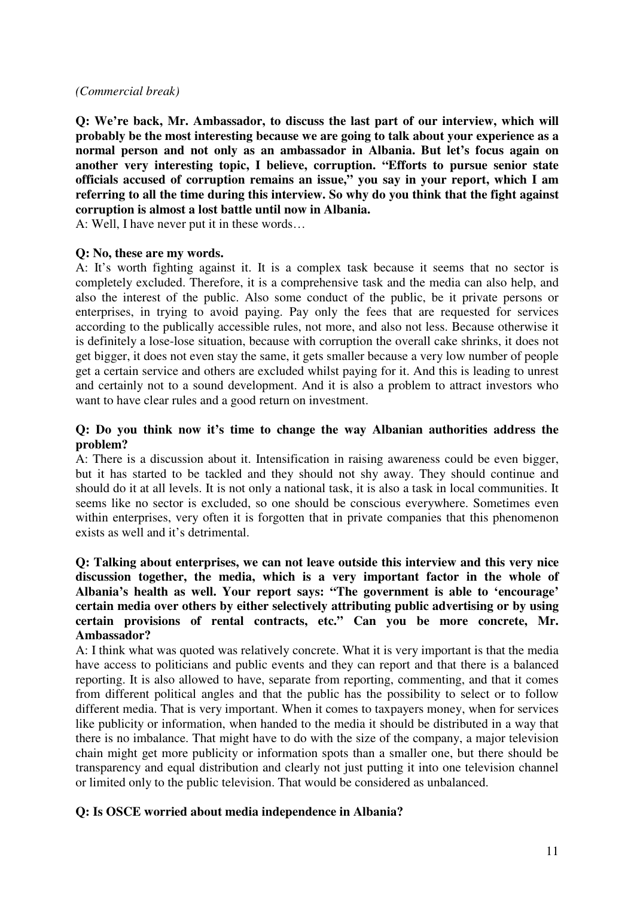## *(Commercial break)*

**Q: We're back, Mr. Ambassador, to discuss the last part of our interview, which will probably be the most interesting because we are going to talk about your experience as a normal person and not only as an ambassador in Albania. But let's focus again on another very interesting topic, I believe, corruption. "Efforts to pursue senior state officials accused of corruption remains an issue," you say in your report, which I am referring to all the time during this interview. So why do you think that the fight against corruption is almost a lost battle until now in Albania.**

A: Well, I have never put it in these words…

## **Q: No, these are my words.**

A: It's worth fighting against it. It is a complex task because it seems that no sector is completely excluded. Therefore, it is a comprehensive task and the media can also help, and also the interest of the public. Also some conduct of the public, be it private persons or enterprises, in trying to avoid paying. Pay only the fees that are requested for services according to the publically accessible rules, not more, and also not less. Because otherwise it is definitely a lose-lose situation, because with corruption the overall cake shrinks, it does not get bigger, it does not even stay the same, it gets smaller because a very low number of people get a certain service and others are excluded whilst paying for it. And this is leading to unrest and certainly not to a sound development. And it is also a problem to attract investors who want to have clear rules and a good return on investment.

## **Q: Do you think now it's time to change the way Albanian authorities address the problem?**

A: There is a discussion about it. Intensification in raising awareness could be even bigger, but it has started to be tackled and they should not shy away. They should continue and should do it at all levels. It is not only a national task, it is also a task in local communities. It seems like no sector is excluded, so one should be conscious everywhere. Sometimes even within enterprises, very often it is forgotten that in private companies that this phenomenon exists as well and it's detrimental.

# **Q: Talking about enterprises, we can not leave outside this interview and this very nice discussion together, the media, which is a very important factor in the whole of Albania's health as well. Your report says: "The government is able to 'encourage' certain media over others by either selectively attributing public advertising or by using certain provisions of rental contracts, etc." Can you be more concrete, Mr. Ambassador?**

A: I think what was quoted was relatively concrete. What it is very important is that the media have access to politicians and public events and they can report and that there is a balanced reporting. It is also allowed to have, separate from reporting, commenting, and that it comes from different political angles and that the public has the possibility to select or to follow different media. That is very important. When it comes to taxpayers money, when for services like publicity or information, when handed to the media it should be distributed in a way that there is no imbalance. That might have to do with the size of the company, a major television chain might get more publicity or information spots than a smaller one, but there should be transparency and equal distribution and clearly not just putting it into one television channel or limited only to the public television. That would be considered as unbalanced.

# **Q: Is OSCE worried about media independence in Albania?**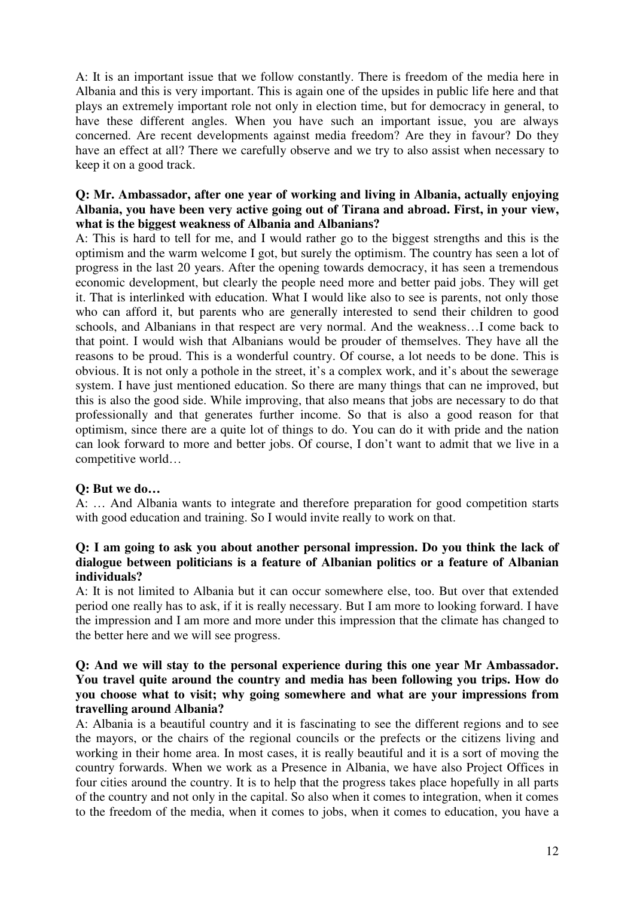A: It is an important issue that we follow constantly. There is freedom of the media here in Albania and this is very important. This is again one of the upsides in public life here and that plays an extremely important role not only in election time, but for democracy in general, to have these different angles. When you have such an important issue, you are always concerned. Are recent developments against media freedom? Are they in favour? Do they have an effect at all? There we carefully observe and we try to also assist when necessary to keep it on a good track.

# **Q: Mr. Ambassador, after one year of working and living in Albania, actually enjoying Albania, you have been very active going out of Tirana and abroad. First, in your view, what is the biggest weakness of Albania and Albanians?**

A: This is hard to tell for me, and I would rather go to the biggest strengths and this is the optimism and the warm welcome I got, but surely the optimism. The country has seen a lot of progress in the last 20 years. After the opening towards democracy, it has seen a tremendous economic development, but clearly the people need more and better paid jobs. They will get it. That is interlinked with education. What I would like also to see is parents, not only those who can afford it, but parents who are generally interested to send their children to good schools, and Albanians in that respect are very normal. And the weakness…I come back to that point. I would wish that Albanians would be prouder of themselves. They have all the reasons to be proud. This is a wonderful country. Of course, a lot needs to be done. This is obvious. It is not only a pothole in the street, it's a complex work, and it's about the sewerage system. I have just mentioned education. So there are many things that can ne improved, but this is also the good side. While improving, that also means that jobs are necessary to do that professionally and that generates further income. So that is also a good reason for that optimism, since there are a quite lot of things to do. You can do it with pride and the nation can look forward to more and better jobs. Of course, I don't want to admit that we live in a competitive world…

# **Q: But we do…**

A: … And Albania wants to integrate and therefore preparation for good competition starts with good education and training. So I would invite really to work on that.

#### **Q: I am going to ask you about another personal impression. Do you think the lack of dialogue between politicians is a feature of Albanian politics or a feature of Albanian individuals?**

A: It is not limited to Albania but it can occur somewhere else, too. But over that extended period one really has to ask, if it is really necessary. But I am more to looking forward. I have the impression and I am more and more under this impression that the climate has changed to the better here and we will see progress.

## **Q: And we will stay to the personal experience during this one year Mr Ambassador. You travel quite around the country and media has been following you trips. How do you choose what to visit; why going somewhere and what are your impressions from travelling around Albania?**

A: Albania is a beautiful country and it is fascinating to see the different regions and to see the mayors, or the chairs of the regional councils or the prefects or the citizens living and working in their home area. In most cases, it is really beautiful and it is a sort of moving the country forwards. When we work as a Presence in Albania, we have also Project Offices in four cities around the country. It is to help that the progress takes place hopefully in all parts of the country and not only in the capital. So also when it comes to integration, when it comes to the freedom of the media, when it comes to jobs, when it comes to education, you have a